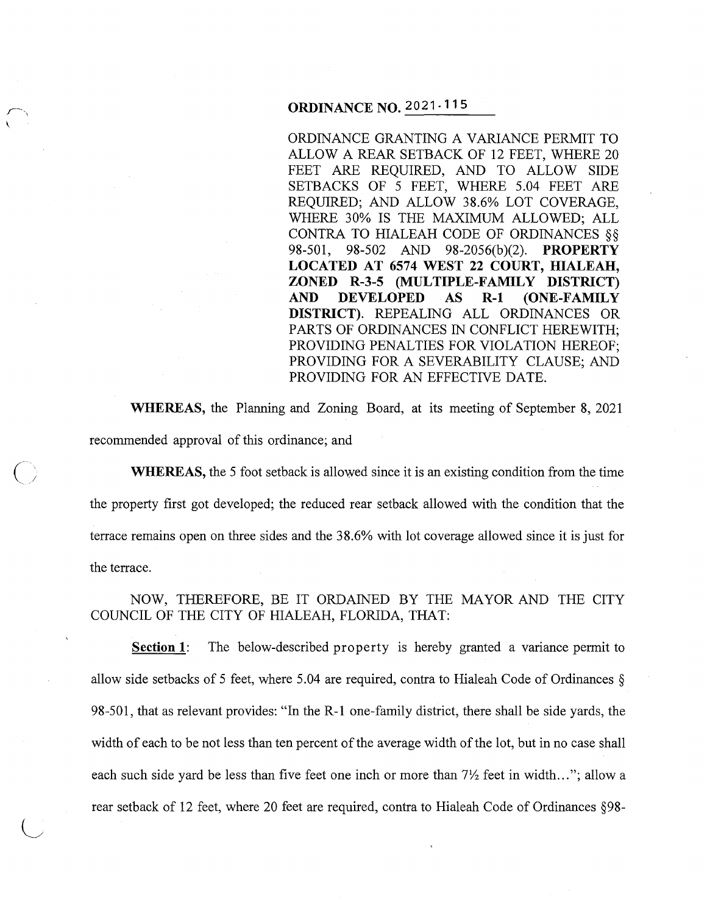# **ORDINANCE NO. 2021-115**

ORDINANCE GRANTING A VARIANCE PERMIT TO ALLOW A REAR SETBACK OF 12 FEET, WHERE 20 FEET ARE REQUIRED, AND TO ALLOW SIDE SETBACKS OF 5 FEET, WHERE 5.04 FEET ARE REQUIRED; AND ALLOW 38.6% LOT COVERAGE, WHERE 30% IS THE MAXIMUM ALLOWED; ALL CONTRA TO HIALEAH CODE OF ORDINANCES§§ 98-501, 98-502 AND 98-2056(b)(2). **PROPERTY LOCATED AT 6574 WEST 22 COURT, HIALEAH, ZONED R-3-5 (MULTIPLE-FAMILY DISTRICT) AND DEVELOPED AS R-1 (ONE-FAMILY DISTRICT).** REPEALING ALL ORDINANCES OR PARTS OF ORDINANCES IN CONFLICT HEREWITH; PROVIDING PENALTIES FOR VIOLATION HEREOF; PROVIDING FOR A SEVERABILITY CLAUSE; AND PROVIDING FOR AN EFFECTIVE DATE.

**WHEREAS,** the Planning and Zoning Board, at its meeting of September 8, 2021 recommended approval of this ordinance; and

 $\overline{O}$ 

 $\bigcup$ 

**WHEREAS,** the 5 foot setback is allowed since it is an existing condition from the time the property first got developed; the reduced rear setback allowed with the condition that the terrace remains open on three sides and the 38.6% with lot coverage allowed since it is just for the terrace.

NOW, THEREFORE, BE IT ORDAINED BY THE MAYOR AND THE CITY COUNCIL OF THE CITY OF HIALEAH, FLORIDA, THAT:

**Section 1:** The below-described property is hereby granted a variance permit to allow side setbacks of 5 feet, where 5.04 are required, contra to Hialeah Code of Ordinances § 98-501, that as relevant provides: "In the R-1 one-family district, there shall be side yards, the width of each to be not less than ten percent of the average width of the lot, but in no case shall each such side yard be less than five feet one inch or more than  $7\frac{1}{2}$  feet in width..."; allow a rear setback of 12 feet, where 20 feet are required, contra to Hialeah Code of Ordinances §98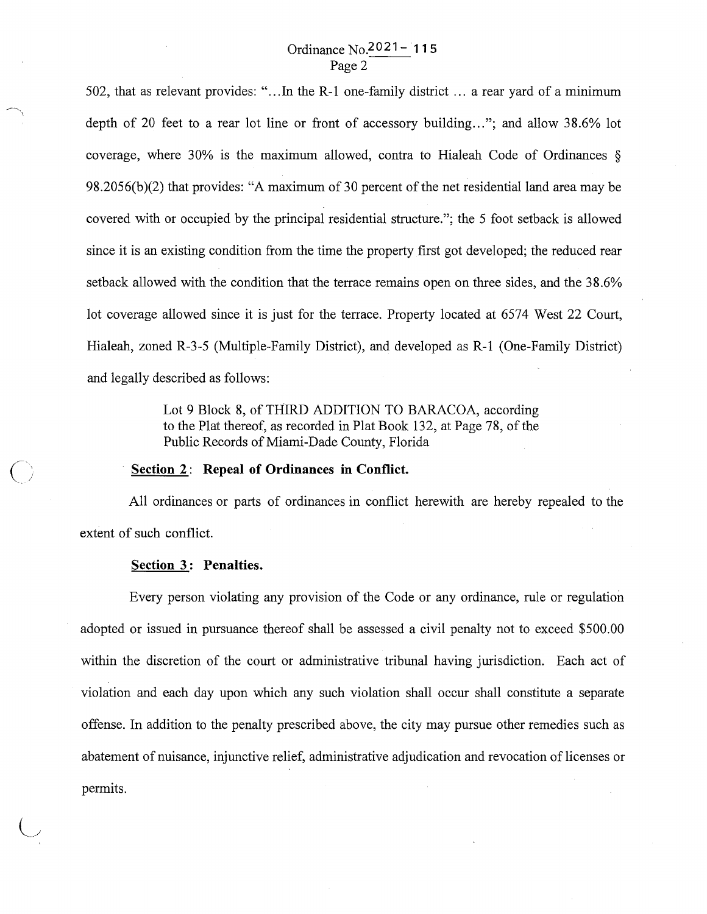502, that as relevant provides: " ... In the R-1 one-family district ... a rear yard of a minimum depth of 20 feet to a rear lot line or front of accessory building..."; and allow 38.6% lot coverage, where 30% is the maximum allowed, contra to Hialeah Code of Ordinances § 98.2056(b)(2) that provides: "A maximum of 30 percent of the net residential land area may be covered with or occupied by the principal residential structure."; the 5 foot setback is allowed since it is an existing condition from the time the property first got developed; the reduced rear setback allowed with the condition that the terrace remains open on three sides, and the 38.6% lot coverage allowed since it is just for the terrace. Property located at 6574 West 22 Court, Hialeah, zoned R-3-5 (Multiple-Family District), and developed as R-1 (One-Family District) and legally described as follows:

> Lot 9 Block 8, of THIRD ADDITION TO BARACOA, according to the Plat thereof, as recorded in Plat Book 132, at Page 78, of the Public Records of Miami-Dade County, Florida

## **<u>Section 2:</u>** Repeal of Ordinances in Conflict.

All ordinances or parts of ordinances in conflict herewith are hereby repealed to the extent of such conflict.

#### **Section 3: Penalties.**

Every person violating any provision of the Code or any ordinance, rule or regulation adopted or issued in pursuance thereof shall be assessed a civil penalty not to exceed \$500.00 within the discretion of the court or administrative tribunal having jurisdiction. Each act of violation and each day upon which any such violation shall occur shall constitute a separate offense. In addition to the penalty prescribed above, the city may pursue other remedies such as abatement of nuisance, injunctive relief, administrative adjudication and revocation of licenses or permits.